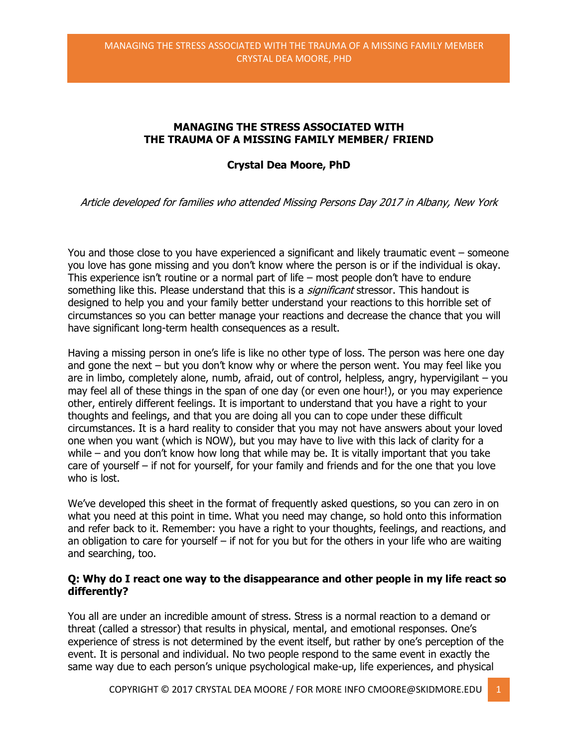# **MANAGING THE STRESS ASSOCIATED WITH THE TRAUMA OF A MISSING FAMILY MEMBER/ FRIEND**

## **Crystal Dea Moore, PhD**

Article developed for families who attended Missing Persons Day 2017 in Albany, New York

You and those close to you have experienced a significant and likely traumatic event – someone you love has gone missing and you don't know where the person is or if the individual is okay. This experience isn't routine or a normal part of life – most people don't have to endure something like this. Please understand that this is a *significant* stressor. This handout is designed to help you and your family better understand your reactions to this horrible set of circumstances so you can better manage your reactions and decrease the chance that you will have significant long-term health consequences as a result.

Having a missing person in one's life is like no other type of loss. The person was here one day and gone the next – but you don't know why or where the person went. You may feel like you are in limbo, completely alone, numb, afraid, out of control, helpless, angry, hypervigilant – you may feel all of these things in the span of one day (or even one hour!), or you may experience other, entirely different feelings. It is important to understand that you have a right to your thoughts and feelings, and that you are doing all you can to cope under these difficult circumstances. It is a hard reality to consider that you may not have answers about your loved one when you want (which is NOW), but you may have to live with this lack of clarity for a while – and you don't know how long that while may be. It is vitally important that you take care of yourself – if not for yourself, for your family and friends and for the one that you love who is lost.

We've developed this sheet in the format of frequently asked questions, so you can zero in on what you need at this point in time. What you need may change, so hold onto this information and refer back to it. Remember: you have a right to your thoughts, feelings, and reactions, and an obligation to care for yourself – if not for you but for the others in your life who are waiting and searching, too.

### **Q: Why do I react one way to the disappearance and other people in my life react so differently?**

You all are under an incredible amount of stress. Stress is a normal reaction to a demand or threat (called a stressor) that results in physical, mental, and emotional responses. One's experience of stress is not determined by the event itself, but rather by one's perception of the event. It is personal and individual. No two people respond to the same event in exactly the same way due to each person's unique psychological make-up, life experiences, and physical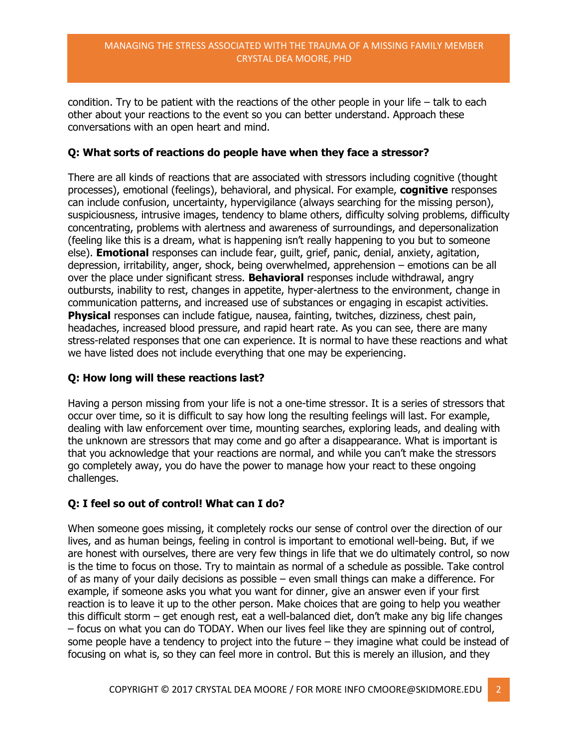#### MANAGING THE STRESS ASSOCIATED WITH THE TRAUMA OF A MISSING FAMILY MEMBER CRYSTAL DEA MOORE, PHD

condition. Try to be patient with the reactions of the other people in your life  $-$  talk to each other about your reactions to the event so you can better understand. Approach these conversations with an open heart and mind.

## **Q: What sorts of reactions do people have when they face a stressor?**

There are all kinds of reactions that are associated with stressors including cognitive (thought processes), emotional (feelings), behavioral, and physical. For example, **cognitive** responses can include confusion, uncertainty, hypervigilance (always searching for the missing person), suspiciousness, intrusive images, tendency to blame others, difficulty solving problems, difficulty concentrating, problems with alertness and awareness of surroundings, and depersonalization (feeling like this is a dream, what is happening isn't really happening to you but to someone else). **Emotional** responses can include fear, guilt, grief, panic, denial, anxiety, agitation, depression, irritability, anger, shock, being overwhelmed, apprehension – emotions can be all over the place under significant stress. **Behavioral** responses include withdrawal, angry outbursts, inability to rest, changes in appetite, hyper-alertness to the environment, change in communication patterns, and increased use of substances or engaging in escapist activities. **Physical** responses can include fatigue, nausea, fainting, twitches, dizziness, chest pain, headaches, increased blood pressure, and rapid heart rate. As you can see, there are many stress-related responses that one can experience. It is normal to have these reactions and what we have listed does not include everything that one may be experiencing.

### **Q: How long will these reactions last?**

Having a person missing from your life is not a one-time stressor. It is a series of stressors that occur over time, so it is difficult to say how long the resulting feelings will last. For example, dealing with law enforcement over time, mounting searches, exploring leads, and dealing with the unknown are stressors that may come and go after a disappearance. What is important is that you acknowledge that your reactions are normal, and while you can't make the stressors go completely away, you do have the power to manage how your react to these ongoing challenges.

# **Q: I feel so out of control! What can I do?**

When someone goes missing, it completely rocks our sense of control over the direction of our lives, and as human beings, feeling in control is important to emotional well-being. But, if we are honest with ourselves, there are very few things in life that we do ultimately control, so now is the time to focus on those. Try to maintain as normal of a schedule as possible. Take control of as many of your daily decisions as possible – even small things can make a difference. For example, if someone asks you what you want for dinner, give an answer even if your first reaction is to leave it up to the other person. Make choices that are going to help you weather this difficult storm – get enough rest, eat a well-balanced diet, don't make any big life changes – focus on what you can do TODAY. When our lives feel like they are spinning out of control, some people have a tendency to project into the future – they imagine what could be instead of focusing on what is, so they can feel more in control. But this is merely an illusion, and they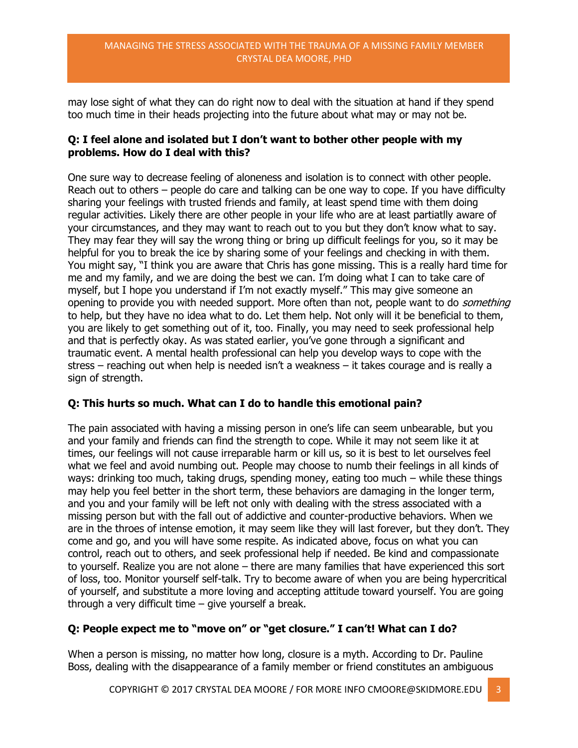#### MANAGING THE STRESS ASSOCIATED WITH THE TRAUMA OF A MISSING FAMILY MEMBER CRYSTAL DEA MOORE, PHD

may lose sight of what they can do right now to deal with the situation at hand if they spend too much time in their heads projecting into the future about what may or may not be.

### **Q: I feel alone and isolated but I don't want to bother other people with my problems. How do I deal with this?**

One sure way to decrease feeling of aloneness and isolation is to connect with other people. Reach out to others – people do care and talking can be one way to cope. If you have difficulty sharing your feelings with trusted friends and family, at least spend time with them doing regular activities. Likely there are other people in your life who are at least partiatlly aware of your circumstances, and they may want to reach out to you but they don't know what to say. They may fear they will say the wrong thing or bring up difficult feelings for you, so it may be helpful for you to break the ice by sharing some of your feelings and checking in with them. You might say, "I think you are aware that Chris has gone missing. This is a really hard time for me and my family, and we are doing the best we can. I'm doing what I can to take care of myself, but I hope you understand if I'm not exactly myself." This may give someone an opening to provide you with needed support. More often than not, people want to do *something* to help, but they have no idea what to do. Let them help. Not only will it be beneficial to them, you are likely to get something out of it, too. Finally, you may need to seek professional help and that is perfectly okay. As was stated earlier, you've gone through a significant and traumatic event. A mental health professional can help you develop ways to cope with the stress – reaching out when help is needed isn't a weakness – it takes courage and is really a sign of strength.

# **Q: This hurts so much. What can I do to handle this emotional pain?**

The pain associated with having a missing person in one's life can seem unbearable, but you and your family and friends can find the strength to cope. While it may not seem like it at times, our feelings will not cause irreparable harm or kill us, so it is best to let ourselves feel what we feel and avoid numbing out. People may choose to numb their feelings in all kinds of ways: drinking too much, taking drugs, spending money, eating too much – while these things may help you feel better in the short term, these behaviors are damaging in the longer term, and you and your family will be left not only with dealing with the stress associated with a missing person but with the fall out of addictive and counter-productive behaviors. When we are in the throes of intense emotion, it may seem like they will last forever, but they don't. They come and go, and you will have some respite. As indicated above, focus on what you can control, reach out to others, and seek professional help if needed. Be kind and compassionate to yourself. Realize you are not alone – there are many families that have experienced this sort of loss, too. Monitor yourself self-talk. Try to become aware of when you are being hypercritical of yourself, and substitute a more loving and accepting attitude toward yourself. You are going through a very difficult time – give yourself a break.

# **Q: People expect me to "move on" or "get closure." I can't! What can I do?**

When a person is missing, no matter how long, closure is a myth. According to Dr. Pauline Boss, dealing with the disappearance of a family member or friend constitutes an ambiguous